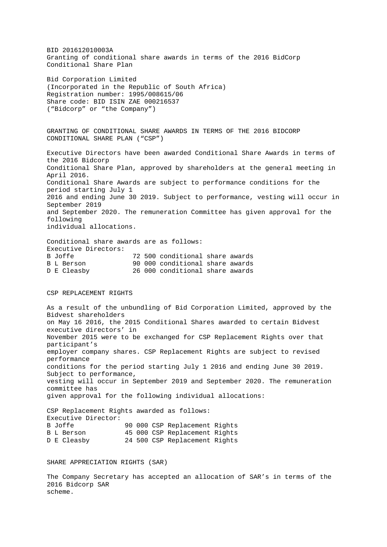BID 201612010003A Granting of conditional share awards in terms of the 2016 BidCorp Conditional Share Plan Bid Corporation Limited (Incorporated in the Republic of South Africa) Registration number: 1995/008615/06 Share code: BID ISIN ZAE 000216537 ("Bidcorp" or "the Company") GRANTING OF CONDITIONAL SHARE AWARDS IN TERMS OF THE 2016 BIDCORP CONDITIONAL SHARE PLAN ("CSP") Executive Directors have been awarded Conditional Share Awards in terms of the 2016 Bidcorp Conditional Share Plan, approved by shareholders at the general meeting in April 2016. Conditional Share Awards are subject to performance conditions for the period starting July 1 2016 and ending June 30 2019. Subject to performance, vesting will occur in September 2019 and September 2020. The remuneration Committee has given approval for the following individual allocations. Conditional share awards are as follows:

Executive Directors:<br>B Joffe B Joffe 72 500 conditional share awards<br>B L Berson 90 000 conditional share awards 90 000 conditional share awards D E Cleasby 26 000 conditional share awards

## CSP REPLACEMENT RIGHTS

As a result of the unbundling of Bid Corporation Limited, approved by the Bidvest shareholders on May 16 2016, the 2015 Conditional Shares awarded to certain Bidvest executive directors' in November 2015 were to be exchanged for CSP Replacement Rights over that participant's employer company shares. CSP Replacement Rights are subject to revised performance conditions for the period starting July 1 2016 and ending June 30 2019. Subject to performance, vesting will occur in September 2019 and September 2020. The remuneration committee has given approval for the following individual allocations:

CSP Replacement Rights awarded as follows: Executive Director:<br>B Joffe B Joffe 90 000 CSP Replacement Rights<br>B L Berson 95 000 CSP Replacement Rights B L Berson 45 000 CSP Replacement Rights<br>
D E Cleasby 24 500 CSP Replacement Rights 24 500 CSP Replacement Rights

SHARE APPRECIATION RIGHTS (SAR)

The Company Secretary has accepted an allocation of SAR's in terms of the 2016 Bidcorp SAR scheme.